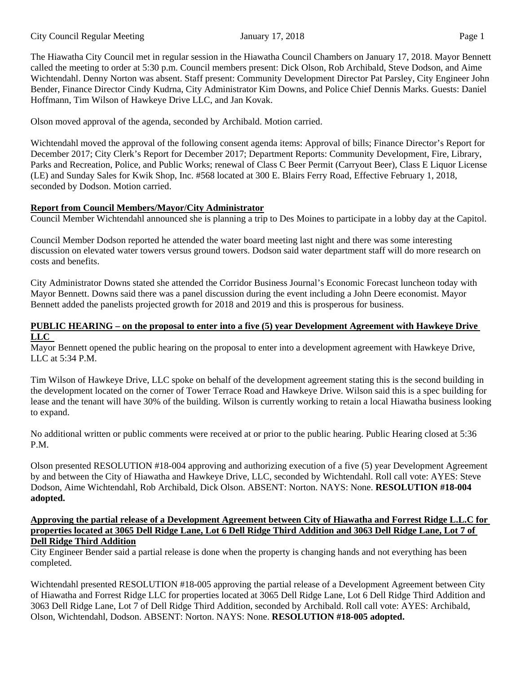The Hiawatha City Council met in regular session in the Hiawatha Council Chambers on January 17, 2018. Mayor Bennett called the meeting to order at 5:30 p.m. Council members present: Dick Olson, Rob Archibald, Steve Dodson, and Aime Wichtendahl. Denny Norton was absent. Staff present: Community Development Director Pat Parsley, City Engineer John Bender, Finance Director Cindy Kudrna, City Administrator Kim Downs, and Police Chief Dennis Marks. Guests: Daniel Hoffmann, Tim Wilson of Hawkeye Drive LLC, and Jan Kovak.

Olson moved approval of the agenda, seconded by Archibald. Motion carried.

Wichtendahl moved the approval of the following consent agenda items: Approval of bills; Finance Director's Report for December 2017; City Clerk's Report for December 2017; Department Reports: Community Development, Fire, Library, Parks and Recreation, Police, and Public Works; renewal of Class C Beer Permit (Carryout Beer), Class E Liquor License (LE) and Sunday Sales for Kwik Shop, Inc. #568 located at 300 E. Blairs Ferry Road, Effective February 1, 2018, seconded by Dodson. Motion carried.

# **Report from Council Members/Mayor/City Administrator**

Council Member Wichtendahl announced she is planning a trip to Des Moines to participate in a lobby day at the Capitol.

Council Member Dodson reported he attended the water board meeting last night and there was some interesting discussion on elevated water towers versus ground towers. Dodson said water department staff will do more research on costs and benefits.

City Administrator Downs stated she attended the Corridor Business Journal's Economic Forecast luncheon today with Mayor Bennett. Downs said there was a panel discussion during the event including a John Deere economist. Mayor Bennett added the panelists projected growth for 2018 and 2019 and this is prosperous for business.

## **PUBLIC HEARING – on the proposal to enter into a five (5) year Development Agreement with Hawkeye Drive LLC**

Mayor Bennett opened the public hearing on the proposal to enter into a development agreement with Hawkeye Drive, LLC at 5:34 P.M.

Tim Wilson of Hawkeye Drive, LLC spoke on behalf of the development agreement stating this is the second building in the development located on the corner of Tower Terrace Road and Hawkeye Drive. Wilson said this is a spec building for lease and the tenant will have 30% of the building. Wilson is currently working to retain a local Hiawatha business looking to expand.

No additional written or public comments were received at or prior to the public hearing. Public Hearing closed at 5:36 P.M.

Olson presented RESOLUTION #18-004 approving and authorizing execution of a five (5) year Development Agreement by and between the City of Hiawatha and Hawkeye Drive, LLC, seconded by Wichtendahl. Roll call vote: AYES: Steve Dodson, Aime Wichtendahl, Rob Archibald, Dick Olson. ABSENT: Norton. NAYS: None. **RESOLUTION #18-004 adopted.**

#### **Approving the partial release of a Development Agreement between City of Hiawatha and Forrest Ridge L.L.C for properties located at 3065 Dell Ridge Lane, Lot 6 Dell Ridge Third Addition and 3063 Dell Ridge Lane, Lot 7 of Dell Ridge Third Addition**

City Engineer Bender said a partial release is done when the property is changing hands and not everything has been completed.

Wichtendahl presented RESOLUTION #18-005 approving the partial release of a Development Agreement between City of Hiawatha and Forrest Ridge LLC for properties located at 3065 Dell Ridge Lane, Lot 6 Dell Ridge Third Addition and 3063 Dell Ridge Lane, Lot 7 of Dell Ridge Third Addition, seconded by Archibald. Roll call vote: AYES: Archibald, Olson, Wichtendahl, Dodson. ABSENT: Norton. NAYS: None. **RESOLUTION #18-005 adopted.**